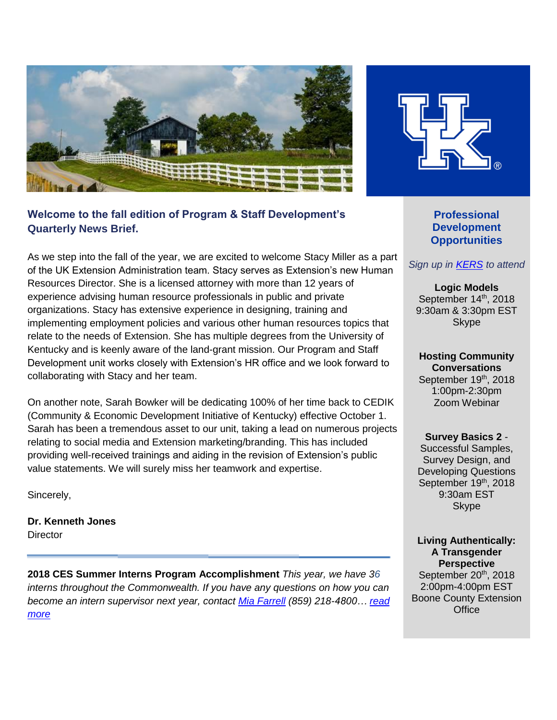

## **Welcome to the fall edition of Program & Staff Development's Quarterly News Brief.**

As we step into the fall of the year, we are excited to welcome Stacy Miller as a part of the UK Extension Administration team. Stacy serves as Extension's new Human Resources Director. She is a licensed attorney with more than 12 years of experience advising human resource professionals in public and private organizations. Stacy has extensive experience in designing, training and implementing employment policies and various other human resources topics that relate to the needs of Extension. She has multiple degrees from the University of Kentucky and is keenly aware of the land-grant mission. Our Program and Staff Development unit works closely with Extension's HR office and we look forward to collaborating with Stacy and her team.

On another note, Sarah Bowker will be dedicating 100% of her time back to CEDIK (Community & Economic Development Initiative of Kentucky) effective October 1. Sarah has been a tremendous asset to our unit, taking a lead on numerous projects relating to social media and Extension marketing/branding. This has included providing well-received trainings and aiding in the revision of Extension's public value statements. We will surely miss her teamwork and expertise.

Sincerely,

**Dr. Kenneth Jones Director** 

**2018 CES Summer Interns Program Accomplishment** *This year, we have 36 interns throughout the Commonwealth. If you have any questions on how you can become an intern supervisor next year, contact [Mia Farrell](mailto:antomia.farrell@uky.edu) (859) 218-4800… [read](https://psd.ca.uky.edu/files/intern_update.pdf)  [more](https://psd.ca.uky.edu/files/intern_update.pdf)*



**Professional Development Opportunities**

#### *Sign up in [KERS](https://kers.ca.uky.edu/core/login) to attend*

**Logic Models** September 14<sup>th</sup>, 2018 9:30am & 3:30pm EST Skype

**Hosting Community Conversations** September 19<sup>th</sup>, 2018 1:00pm-2:30pm Zoom Webinar

**Survey Basics 2** - Successful Samples, Survey Design, and Developing Questions September 19th, 2018 9:30am EST **Skype** 

**Living Authentically: A Transgender Perspective** September 20<sup>th</sup>, 2018 2:00pm-4:00pm EST Boone County Extension **Office**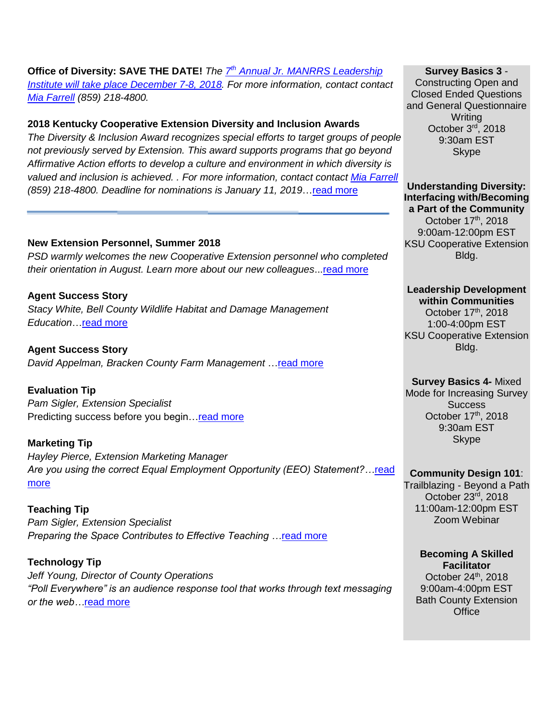# **Office of Diversity: SAVE THE DATE!** *The 7 th [Annual Jr. MANRRS Leadership](https://psd.ca.uky.edu/sites/psd.ca.uky.edu/files/ky_jr_manrrs_save_the_date.pdf)*

*[Institute will take place December 7-8, 2018.](https://psd.ca.uky.edu/sites/psd.ca.uky.edu/files/ky_jr_manrrs_save_the_date.pdf) For more information, contact contact [Mia Farrell](mailto:antomia.farrell@uky.edu) (859) 218-4800.* 

### **2018 Kentucky Cooperative Extension Diversity and Inclusion Awards**

*The Diversity & Inclusion Award recognizes special efforts to target groups of people not previously served by Extension. This award supports programs that go beyond Affirmative Action efforts to develop a culture and environment in which diversity is valued and inclusion is achieved. . For more information, contact contact [Mia Farrell](mailto:antomia.farrell@uky.edu) (859) 218-4800. Deadline for nominations is January 11, 2019*[…read more](https://psd.ca.uky.edu/sites/psd.ca.uky.edu/files/2018_diversity_nomination_form_revised.pdf)

#### **New Extension Personnel, Summer 2018**

*PSD warmly welcomes the new Cooperative Extension personnel who completed their orientation in August. Learn more about our new colleagues*..[.read more](https://psd.ca.uky.edu/files/psd_news_brief_bios_september_2018_final.pdf)

**Agent Success Story** *Stacy White, Bell County Wildlife Habitat and Damage Management Education*[…read more](https://psd.ca.uky.edu/files/fall_2018_success_story.pdf)

**Agent Success Story** *David Appelman, Bracken County Farm Management* […read more](https://psd.ca.uky.edu/files/fall_2018_success_story_2.pdf)

**Evaluation Tip** *Pam Sigler, Extension Specialist*  Predicting success before you begin...read more

## **Marketing Tip**

*Hayley Pierce, Extension Marketing Manager Are you using the correct Equal Employment Opportunity (EEO) Statement?…*[read](https://psd.ca.uky.edu/files/fall_2018_marketing_tip.pdf)  [more](https://psd.ca.uky.edu/files/fall_2018_marketing_tip.pdf)

**Teaching Tip**  *Pam Sigler, Extension Specialist Preparing the Space Contributes to Effective Teaching …*[read more](https://psd.ca.uky.edu/files/fall_2018_teaching_tip.pdf)

**Technology Tip** *Jeff Young, Director of County Operations "Poll Everywhere" is an audience response tool that works through text messaging or the web…*[read more](https://psd.ca.uky.edu/sites/psd.ca.uky.edu/files/summer_2018_marketing_tip.pdf)

**Survey Basics 3** -

Constructing Open and Closed Ended Questions and General Questionnaire **Writing** October 3rd, 2018 9:30am EST Skype

**Understanding Diversity: Interfacing with/Becoming a Part of the Community** October 17<sup>th</sup>, 2018 9:00am-12:00pm EST KSU Cooperative Extension Bldg.

#### **Leadership Development within Communities**

October 17th, 2018 1:00-4:00pm EST KSU Cooperative Extension Bldg.

#### **Survey Basics 4-** Mixed

Mode for Increasing Survey **Success** October 17th, 2018 9:30am EST **Skype** 

#### **Community Design 101**:

Trailblazing - Beyond a Path October 23rd, 2018 11:00am-12:00pm EST Zoom Webinar

**Becoming A Skilled Facilitator** October  $24<sup>th</sup>$ , 2018 9:00am-4:00pm EST Bath County Extension **Office**